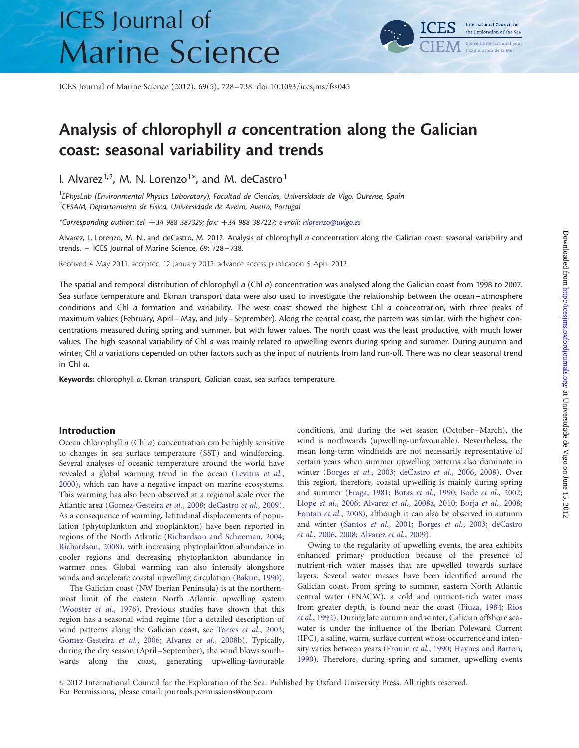# ICES Journal of Marine Science



ICES Journal of Marine Science (2012), 69(5), 728–738. doi:10.1093/icesjms/fss045

# Analysis of chlorophyll a concentration along the Galician coast: seasonal variability and trends

I. Alvarez<sup>1,2</sup>, M. N. Lorenzo<sup>1\*</sup>, and M. deCastro<sup>1</sup>

 ${}^{1}$ EPhysLab (Environmental Physics Laboratory), Facultad de Ciencias, Universidade de Vigo, Ourense, Spain  $^{2}$ CESAM, Departamento de Física, Universidade de Aveiro, Aveiro, Portugal

\*Corresponding author: tel: +34 988 387329; fax: +34 988 387227; e-mail: [nlorenzo@uvigo.es](mailto:nlorenzo@uvigo.es)

Alvarez, I., Lorenzo, M. N., and deCastro, M. 2012. Analysis of chlorophyll a concentration along the Galician coast: seasonal variability and trends. – ICES Journal of Marine Science, 69: 728–738.

Received 4 May 2011; accepted 12 January 2012; advance access publication 5 April 2012.

The spatial and temporal distribution of chlorophyll a (Chl a) concentration was analysed along the Galician coast from 1998 to 2007. Sea surface temperature and Ekman transport data were also used to investigate the relationship between the ocean–atmosphere conditions and Chl a formation and variability. The west coast showed the highest Chl a concentration, with three peaks of maximum values (February, April–May, and July–September). Along the central coast, the pattern was similar, with the highest concentrations measured during spring and summer, but with lower values. The north coast was the least productive, with much lower values. The high seasonal variability of Chl a was mainly related to upwelling events during spring and summer. During autumn and winter, Chl a variations depended on other factors such as the input of nutrients from land run-off. There was no clear seasonal trend in Chl a.

Keywords: chlorophyll a, Ekman transport, Galician coast, sea surface temperature.

#### Introduction

Ocean chlorophyll a (Chl a) concentration can be highly sensitive to changes in sea surface temperature (SST) and windforcing. Several analyses of oceanic temperature around the world have revealed a global warming trend in the ocean [\(Levitus](#page-9-0) et al., [2000\)](#page-9-0), which can have a negative impact on marine ecosystems. This warming has also been observed at a regional scale over the Atlantic area ([Gomez-Gesteira](#page-9-0) et al., 2008; [deCastro](#page-9-0) et al., 2009). As a consequence of warming, latitudinal displacements of population (phytoplankton and zooplankton) have been reported in regions of the North Atlantic [\(Richardson and Schoeman, 2004](#page-9-0); [Richardson, 2008](#page-9-0)), with increasing phytoplankton abundance in cooler regions and decreasing phytoplankton abundance in warmer ones. Global warming can also intensify alongshore winds and accelerate coastal upwelling circulation ([Bakun, 1990\)](#page-8-0).

The Galician coast (NW Iberian Peninsula) is at the northernmost limit of the eastern North Atlantic upwelling system ([Wooster](#page-10-0) et al., 1976). Previous studies have shown that this region has a seasonal wind regime (for a detailed description of wind patterns along the Galician coast, see Torres et al.[, 2003](#page-9-0); [Gomez-Gesteira](#page-9-0) et al., 2006; Alvarez et al.[, 2008b\)](#page-8-0). Typically, during the dry season (April–September), the wind blows southwards along the coast, generating upwelling-favourable conditions, and during the wet season (October–March), the wind is northwards (upwelling-unfavourable). Nevertheless, the mean long-term windfields are not necessarily representative of certain years when summer upwelling patterns also dominate in winter [\(Borges](#page-9-0) et al., 2003; [deCastro](#page-9-0) et al., 2006, [2008](#page-9-0)). Over this region, therefore, coastal upwelling is mainly during spring and summer ([Fraga, 1981](#page-9-0); Botas et al.[, 1990;](#page-9-0) Bode et al.[, 2002;](#page-8-0) Llope et al.[, 2006;](#page-9-0) [Alvarez](#page-8-0) et al., 2008a, [2010;](#page-8-0) Borja et al.[, 2008;](#page-9-0) [Fontan](#page-9-0) et al., 2008), although it can also be observed in autumn and winter ([Santos](#page-9-0) et al., 2001; [Borges](#page-9-0) et al., 2003; [deCastro](#page-9-0) et al.[, 2006](#page-9-0), [2008](#page-9-0); [Alvarez](#page-8-0) et al., 2009).

Owing to the regularity of upwelling events, the area exhibits enhanced primary production because of the presence of nutrient-rich water masses that are upwelled towards surface layers. Several water masses have been identified around the Galician coast. From spring to summer, eastern North Atlantic central water (ENACW), a cold and nutrient-rich water mass from greater depth, is found near the coast ([Fiuza, 1984;](#page-9-0) [Rios](#page-9-0) et al.[, 1992\)](#page-9-0). During late autumn and winter, Galician offshore seawater is under the influence of the Iberian Poleward Current (IPC), a saline, warm, surface current whose occurrence and intensity varies between years [\(Frouin](#page-9-0) et al., 1990; [Haynes and Barton,](#page-9-0) [1990\)](#page-9-0). Therefore, during spring and summer, upwelling events

 $\degree$  2012 International Council for the Exploration of the Sea. Published by Oxford University Press. All rights reserved. For Permissions, please email: journals.permissions@oup.com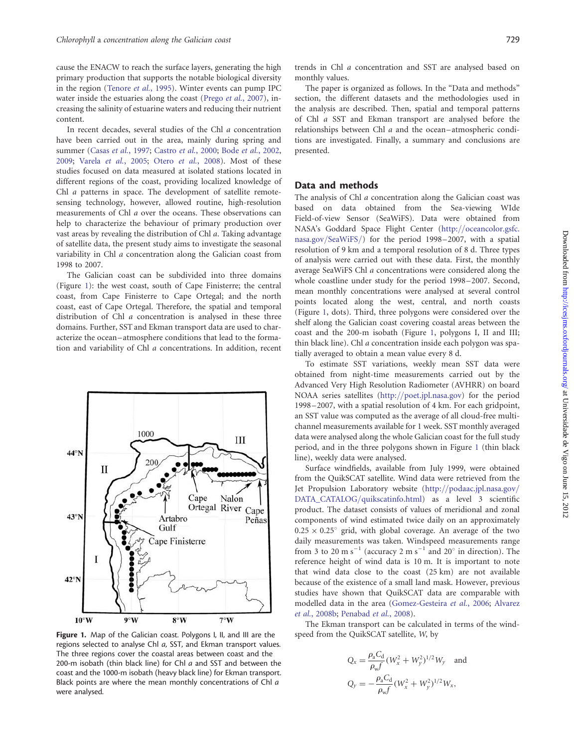<span id="page-1-0"></span>cause the ENACW to reach the surface layers, generating the high primary production that supports the notable biological diversity in the region [\(Tenore](#page-9-0) et al., 1995). Winter events can pump IPC water inside the estuaries along the coast (Prego et al.[, 2007\)](#page-9-0), increasing the salinity of estuarine waters and reducing their nutrient content.

In recent decades, several studies of the Chl a concentration have been carried out in the area, mainly during spring and summer (Casas et al.[, 1997](#page-9-0); [Castro](#page-9-0) et al., 2000; Bode et al.[, 2002](#page-8-0), [2009;](#page-8-0) Varela et al.[, 2005;](#page-10-0) Otero et al.[, 2008](#page-9-0)). Most of these studies focused on data measured at isolated stations located in different regions of the coast, providing localized knowledge of Chl a patterns in space. The development of satellite remotesensing technology, however, allowed routine, high-resolution measurements of Chl a over the oceans. These observations can help to characterize the behaviour of primary production over vast areas by revealing the distribution of Chl a. Taking advantage of satellite data, the present study aims to investigate the seasonal variability in Chl a concentration along the Galician coast from 1998 to 2007.

The Galician coast can be subdivided into three domains (Figure 1): the west coast, south of Cape Finisterre; the central coast, from Cape Finisterre to Cape Ortegal; and the north coast, east of Cape Ortegal. Therefore, the spatial and temporal distribution of Chl a concentration is analysed in these three domains. Further, SST and Ekman transport data are used to characterize the ocean–atmosphere conditions that lead to the formation and variability of Chl a concentrations. In addition, recent



Figure 1. Map of the Galician coast. Polygons I, II, and III are the regions selected to analyse Chl a, SST, and Ekman transport values. The three regions cover the coastal areas between coast and the 200-m isobath (thin black line) for Chl a and SST and between the coast and the 1000-m isobath (heavy black line) for Ekman transport. Black points are where the mean monthly concentrations of Chl a were analysed.

trends in Chl a concentration and SST are analysed based on monthly values.

The paper is organized as follows. In the "Data and methods" section, the different datasets and the methodologies used in the analysis are described. Then, spatial and temporal patterns of Chl a SST and Ekman transport are analysed before the relationships between Chl a and the ocean–atmospheric conditions are investigated. Finally, a summary and conclusions are presented.

#### Data and methods

The analysis of Chl a concentration along the Galician coast was based on data obtained from the Sea-viewing WIde Field-of-view Sensor (SeaWiFS). Data were obtained from NASA's Goddard Space Flight Center [\(http:](http://oceancolor.gsfc.nasa.gov/SeaWiFS/)//[oceancolor.gsfc.](http://oceancolor.gsfc.nasa.gov/SeaWiFS/) [nasa.](http://oceancolor.gsfc.nasa.gov/SeaWiFS/)gov/[SeaWiFS](http://oceancolor.gsfc.nasa.gov/SeaWiFS/)/) for the period 1998–2007, with a spatial resolution of 9 km and a temporal resolution of 8 d. Three types of analysis were carried out with these data. First, the monthly average SeaWiFS Chl a concentrations were considered along the whole coastline under study for the period 1998–2007. Second, mean monthly concentrations were analysed at several control points located along the west, central, and north coasts (Figure 1, dots). Third, three polygons were considered over the shelf along the Galician coast covering coastal areas between the coast and the 200-m isobath (Figure 1, polygons I, II and III; thin black line). Chl a concentration inside each polygon was spatially averaged to obtain a mean value every 8 d.

To estimate SST variations, weekly mean SST data were obtained from night-time measurements carried out by the Advanced Very High Resolution Radiometer (AVHRR) on board NOAA series satellites [\(http:](http://poet.jpl.nasa.gov)//[poet.jpl.nasa.gov](http://poet.jpl.nasa.gov)) for the period 1998–2007, with a spatial resolution of 4 km. For each gridpoint, an SST value was computed as the average of all cloud-free multichannel measurements available for 1 week. SST monthly averaged data were analysed along the whole Galician coast for the full study period, and in the three polygons shown in Figure 1 (thin black line), weekly data were analysed.

Surface windfields, available from July 1999, were obtained from the QuikSCAT satellite. Wind data were retrieved from the Jet Propulsion Laboratory website ([http:](http://podaac.jpl.nasa.gov/DATA_CATALOG/quikscatinfo.html)//[podaac.jpl.nasa.gov](http://podaac.jpl.nasa.gov/DATA_CATALOG/quikscatinfo.html)/ [DATA\\_CATALOG](http://podaac.jpl.nasa.gov/DATA_CATALOG/quikscatinfo.html)/quikscatinfo.html) as a level 3 scientific product. The dataset consists of values of meridional and zonal components of wind estimated twice daily on an approximately  $0.25 \times 0.25^{\circ}$  grid, with global coverage. An average of the two daily measurements was taken. Windspeed measurements range from 3 to 20 m s<sup>-1</sup> (accuracy 2 m s<sup>-1</sup> and 20 $^{\circ}$  in direction). The reference height of wind data is 10 m. It is important to note that wind data close to the coast (25 km) are not available because of the existence of a small land mask. However, previous studies have shown that QuikSCAT data are comparable with modelled data in the area ([Gomez-Gesteira](#page-9-0) et al., 2006; [Alvarez](#page-8-0) et al.[, 2008b](#page-8-0); [Penabad](#page-9-0) et al., 2008).

The Ekman transport can be calculated in terms of the windspeed from the QuikSCAT satellite, W, by

$$
Q_x = \frac{\rho_a C_d}{\rho_w f} (W_x^2 + W_y^2)^{1/2} W_y \text{ and}
$$
  

$$
Q_y = -\frac{\rho_a C_d}{\rho_w f} (W_x^2 + W_y^2)^{1/2} W_x,
$$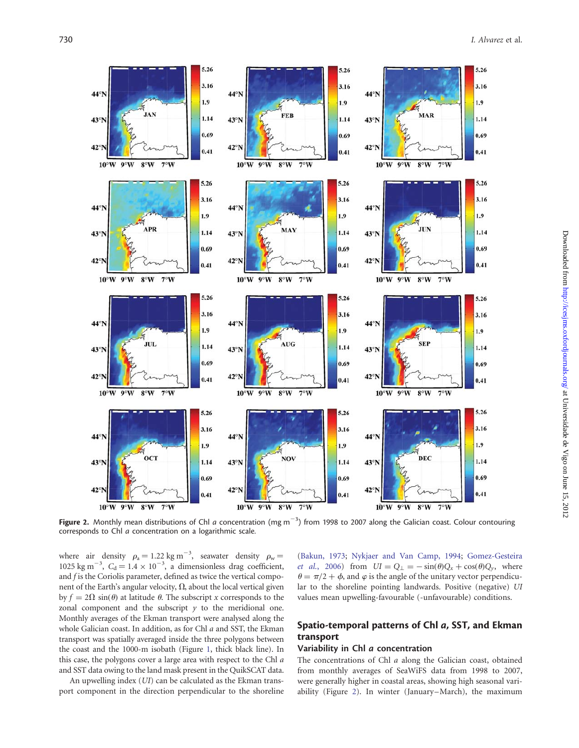<span id="page-2-0"></span>

Downloaded from http://icesjms.oxfordjournals.org/ at Universidade de Vigo on June 15, 2012 Downloaded from <http://icesjms.oxfordjournals.org/> at Universidade de Vigo on June 15, 2012

**Figure 2.** Monthly mean distributions of Chl *a* concentration (mg m $^{-3}$ ) from 1998 to 2007 along the Galician coast. Colour contouring corresponds to Chl a concentration on a logarithmic scale.

where air density  $\rho_a = 1.22 \text{ kg m}^{-3}$ , seawater density  $\rho_w =$ 1025 kg m<sup>-3</sup>,  $C_d = 1.4 \times 10^{-3}$ , a dimensionless drag coefficient, and f is the Coriolis parameter, defined as twice the vertical component of the Earth's angular velocity,  $\Omega$ , about the local vertical given by  $f = 2\Omega \sin(\theta)$  at latitude  $\theta$ . The subscript x corresponds to the zonal component and the subscript  $y$  to the meridional one. Monthly averages of the Ekman transport were analysed along the whole Galician coast. In addition, as for Chl a and SST, the Ekman transport was spatially averaged inside the three polygons between the coast and the 1000-m isobath (Figure [1,](#page-1-0) thick black line). In this case, the polygons cover a large area with respect to the Chl a and SST data owing to the land mask present in the QuikSCAT data.

An upwelling index (UI) can be calculated as the Ekman transport component in the direction perpendicular to the shoreline [\(Bakun, 1973](#page-8-0); [Nykjaer and Van Camp, 1994;](#page-9-0) [Gomez-Gesteira](#page-9-0) *et al.*[, 2006](#page-9-0)) from  $UI = Q_{\perp} = -\sin(\theta)Q_x + \cos(\theta)Q_y$ , where  $\theta = \pi/2 + \phi$ , and  $\varphi$  is the angle of the unitary vector perpendicular to the shoreline pointing landwards. Positive (negative) UI values mean upwelling-favourable (-unfavourable) conditions.

# Spatio-temporal patterns of Chl a, SST, and Ekman transport

#### Variability in Chl a concentration

The concentrations of Chl a along the Galician coast, obtained from monthly averages of SeaWiFS data from 1998 to 2007, were generally higher in coastal areas, showing high seasonal variability (Figure 2). In winter (January–March), the maximum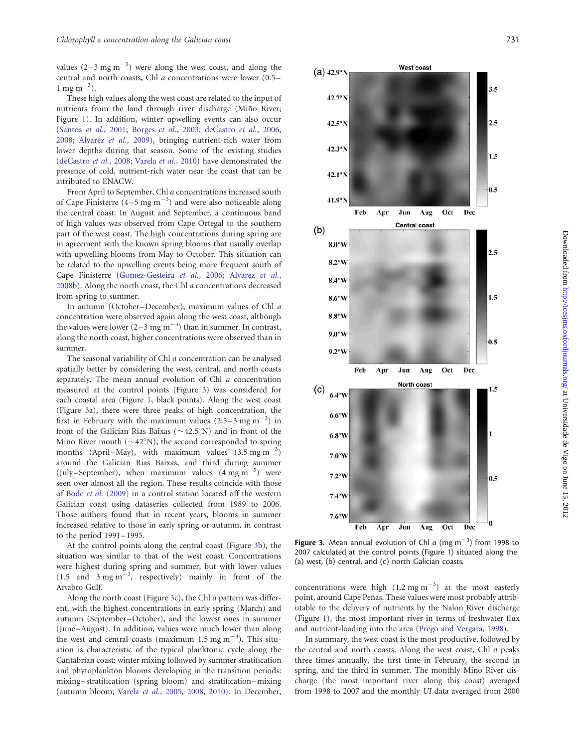<span id="page-3-0"></span>values  $(2-3$  mg m<sup>-3</sup>) were along the west coast, and along the central and north coasts, Chl a concentrations were lower (0.5–  $1 \text{ mg m}^{-3}$ ).

These high values along the west coast are related to the input of nutrients from the land through river discharge (Miño River; Figure [1\)](#page-1-0). In addition, winter upwelling events can also occur ([Santos](#page-9-0) et al., 2001; [Borges](#page-9-0) et al., 2003; [deCastro](#page-9-0) et al., 2006, [2008;](#page-9-0) [Alvarez](#page-8-0) et al., 2009), bringing nutrient-rich water from lower depths during that season. Some of the existing studies ([deCastro](#page-9-0) et al., 2008; [Varela](#page-9-0) et al., 2010) have demonstrated the presence of cold, nutrient-rich water near the coast that can be attributed to ENACW.

From April to September, Chl a concentrations increased south of Cape Finisterre  $(4-5$  mg m<sup>-3</sup>) and were also noticeable along the central coast. In August and September, a continuous band of high values was observed from Cape Ortegal to the southern part of the west coast. The high concentrations during spring are in agreement with the known spring blooms that usually overlap with upwelling blooms from May to October. This situation can be related to the upwelling events being more frequent south of Cape Finisterre [\(Gomez-Gesteira](#page-9-0) et al., 2006; [Alvarez](#page-8-0) et al., [2008b](#page-8-0)). Along the north coast, the Chl a concentrations decreased from spring to summer.

In autumn (October–December), maximum values of Chl a concentration were observed again along the west coast, although the values were lower  $(2-3$  mg m<sup>-3</sup>) than in summer. In contrast, along the north coast, higher concentrations were observed than in summer.

The seasonal variability of Chl a concentration can be analysed spatially better by considering the west, central, and north coasts separately. The mean annual evolution of Chl a concentration measured at the control points (Figure 3) was considered for each coastal area (Figure [1,](#page-1-0) black points). Along the west coast (Figure 3a), there were three peaks of high concentration, the first in February with the maximum values  $(2.5-3$  mg m<sup>-3</sup>) in front of the Galician Rias Baixas ( $\sim$ 42.5°N) and in front of the Miño River mouth ( $\sim$ 42°N), the second corresponded to spring months (April–May), with maximum values  $(3.5 \text{ mg m}^{-3})$ around the Galician Rias Baixas, and third during summer (July–September), when maximum values  $(4 \text{ mg m}^{-3})$  were seen over almost all the region. These results coincide with those of Bode et al. [\(2009\)](#page-8-0) in a control station located off the western Galician coast using dataseries collected from 1989 to 2006. Those authors found that in recent years, blooms in summer increased relative to those in early spring or autumn, in contrast to the period 1991–1995.

At the control points along the central coast (Figure 3b), the situation was similar to that of the west coast. Concentrations were highest during spring and summer, but with lower values  $(1.5 \text{ and } 3 \text{ mg m}^{-3})$ , respectively) mainly in front of the Artabro Gulf.

Along the north coast (Figure 3c), the Chl a pattern was different, with the highest concentrations in early spring (March) and autumn (September–October), and the lowest ones in summer (June–August). In addition, values were much lower than along the west and central coasts (maximum  $1.5$  mg m<sup>-3</sup>). This situation is characteristic of the typical planktonic cycle along the Cantabrian coast: winter mixing followed by summer stratification and phytoplankton blooms developing in the transition periods: mixing–stratification (spring bloom) and stratification–mixing (autumn bloom; Varela et al.[, 2005](#page-10-0), [2008](#page-9-0), [2010](#page-9-0)). In December,





Figure 3. Mean annual evolution of Chl  $a$  (mg m<sup>-3</sup>) from 1998 to 2007 calculated at the control points (Figure [1](#page-1-0)) situated along the (a) west, (b) central, and (c) north Galician coasts.

concentrations were high  $(1.2 \text{ mg m}^{-3})$  at the most easterly point, around Cape Peñas. These values were most probably attributable to the delivery of nutrients by the Nalon River discharge (Figure [1\)](#page-1-0), the most important river in terms of freshwater flux and nutrient-loading into the area [\(Prego and Vergara, 1998\)](#page-9-0).

In summary, the west coast is the most productive, followed by the central and north coasts. Along the west coast, Chl a peaks three times annually, the first time in February, the second in spring, and the third in summer. The monthly Miño River discharge (the most important river along this coast) averaged from 1998 to 2007 and the monthly UI data averaged from 2000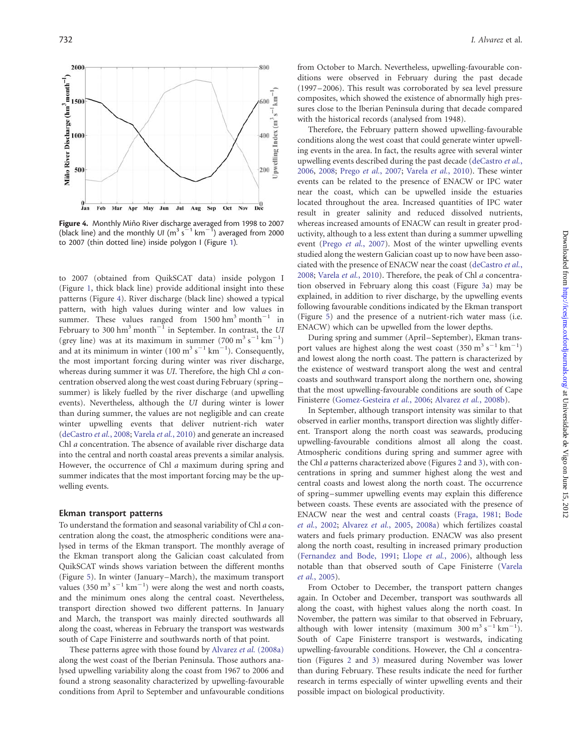

Figure 4. Monthly Miño River discharge averaged from 1998 to 2007 (black line) and the monthly UI ( $m^3 s^{-1}$  km<sup>-1</sup>) averaged from 2000 to 2007 (thin dotted line) inside polygon I (Figure [1](#page-1-0)).

to 2007 (obtained from QuikSCAT data) inside polygon I (Figure [1](#page-1-0), thick black line) provide additional insight into these patterns (Figure 4). River discharge (black line) showed a typical pattern, with high values during winter and low values in summer. These values ranged from  $1500 \text{ hm}^3$  month<sup>-1</sup> in February to 300  $\text{hm}^3$  month<sup>-1</sup> in September. In contrast, the UI (grey line) was at its maximum in summer  $(700 \text{ m}^3 \text{ s}^{-1} \text{ km}^{-1})$ and at its minimum in winter  $(100 \text{ m}^3 \text{ s}^{-1} \text{ km}^{-1})$ . Consequently, the most important forcing during winter was river discharge, whereas during summer it was UI. Therefore, the high Chl a concentration observed along the west coast during February (spring– summer) is likely fuelled by the river discharge (and upwelling events). Nevertheless, although the UI during winter is lower than during summer, the values are not negligible and can create winter upwelling events that deliver nutrient-rich water ([deCastro](#page-9-0) et al., 2008; [Varela](#page-9-0) et al., 2010) and generate an increased Chl a concentration. The absence of available river discharge data into the central and north coastal areas prevents a similar analysis. However, the occurrence of Chl a maximum during spring and summer indicates that the most important forcing may be the upwelling events.

#### Ekman transport patterns

To understand the formation and seasonal variability of Chl a concentration along the coast, the atmospheric conditions were analysed in terms of the Ekman transport. The monthly average of the Ekman transport along the Galician coast calculated from QuikSCAT winds shows variation between the different months (Figure [5](#page-5-0)). In winter (January–March), the maximum transport values (350  $\text{m}^3$  s<sup>-1</sup> km<sup>-1</sup>) were along the west and north coasts, and the minimum ones along the central coast. Nevertheless, transport direction showed two different patterns. In January and March, the transport was mainly directed southwards all along the coast, whereas in February the transport was westwards south of Cape Finisterre and southwards north of that point.

These patterns agree with those found by Alvarez et al. [\(2008a\)](#page-8-0) along the west coast of the Iberian Peninsula. Those authors analysed upwelling variability along the coast from 1967 to 2006 and found a strong seasonality characterized by upwelling-favourable conditions from April to September and unfavourable conditions

from October to March. Nevertheless, upwelling-favourable conditions were observed in February during the past decade (1997–2006). This result was corroborated by sea level pressure composites, which showed the existence of abnormally high pressures close to the Iberian Peninsula during that decade compared with the historical records (analysed from 1948).

Therefore, the February pattern showed upwelling-favourable conditions along the west coast that could generate winter upwelling events in the area. In fact, the results agree with several winter upwelling events described during the past decade [\(deCastro](#page-9-0) et al., [2006,](#page-9-0) [2008;](#page-9-0) Prego et al.[, 2007;](#page-9-0) Varela et al.[, 2010\)](#page-9-0). These winter events can be related to the presence of ENACW or IPC water near the coast, which can be upwelled inside the estuaries located throughout the area. Increased quantities of IPC water result in greater salinity and reduced dissolved nutrients, whereas increased amounts of ENACW can result in greater productivity, although to a less extent than during a summer upwelling event (Prego et al.[, 2007](#page-9-0)). Most of the winter upwelling events studied along the western Galician coast up to now have been associated with the presence of ENACW near the coast ([deCastro](#page-9-0) et al., [2008;](#page-9-0) [Varela](#page-9-0) et al., 2010). Therefore, the peak of Chl a concentration observed in February along this coast (Figure [3](#page-3-0)a) may be explained, in addition to river discharge, by the upwelling events following favourable conditions indicated by the Ekman transport (Figure [5](#page-5-0)) and the presence of a nutrient-rich water mass (i.e. ENACW) which can be upwelled from the lower depths.

During spring and summer (April–September), Ekman transport values are highest along the west coast  $(350 \text{ m}^3 \text{ s}^{-1} \text{ km}^{-1})$ and lowest along the north coast. The pattern is characterized by the existence of westward transport along the west and central coasts and southward transport along the northern one, showing that the most upwelling-favourable conditions are south of Cape Finisterre ([Gomez-Gesteira](#page-9-0) et al., 2006; [Alvarez](#page-8-0) et al., 2008b).

In September, although transport intensity was similar to that observed in earlier months, transport direction was slightly different. Transport along the north coast was seawards, producing upwelling-favourable conditions almost all along the coast. Atmospheric conditions during spring and summer agree with the Chl a patterns characterized above (Figures [2](#page-2-0) and [3\)](#page-3-0), with concentrations in spring and summer highest along the west and central coasts and lowest along the north coast. The occurrence of spring–summer upwelling events may explain this difference between coasts. These events are associated with the presence of ENACW near the west and central coasts ([Fraga, 1981;](#page-9-0) [Bode](#page-8-0) et al.[, 2002](#page-8-0); [Alvarez](#page-8-0) et al., 2005, [2008a\)](#page-8-0) which fertilizes coastal waters and fuels primary production. ENACW was also present along the north coast, resulting in increased primary production [\(Fernandez and Bode, 1991;](#page-9-0) Llope et al.[, 2006\)](#page-9-0), although less notable than that observed south of Cape Finisterre [\(Varela](#page-10-0) et al.[, 2005](#page-10-0)).

From October to December, the transport pattern changes again. In October and December, transport was southwards all along the coast, with highest values along the north coast. In November, the pattern was similar to that observed in February, although with lower intensity (maximum  $300 \text{ m}^3 \text{ s}^{-1} \text{ km}^{-1}$ ). South of Cape Finisterre transport is westwards, indicating upwelling-favourable conditions. However, the Chl a concentration (Figures [2](#page-2-0) and [3](#page-3-0)) measured during November was lower than during February. These results indicate the need for further research in terms especially of winter upwelling events and their possible impact on biological productivity.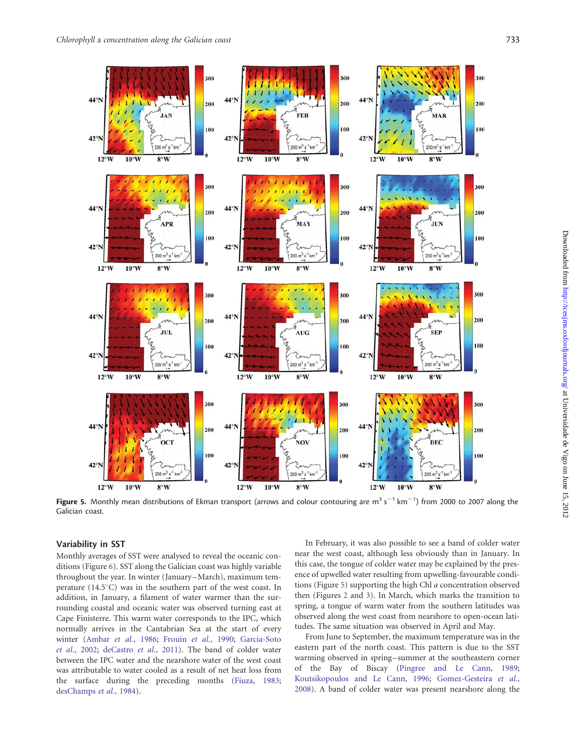<span id="page-5-0"></span>

Figure 5. Monthly mean distributions of Ekman transport (arrows and colour contouring are  $m^3 s^{-1}$  km $^{-1}$ ) from 2000 to 2007 along the Galician coast.

### Variability in SST

Monthly averages of SST were analysed to reveal the oceanic conditions (Figure [6](#page-6-0)). SST along the Galician coast was highly variable throughout the year. In winter (January–March), maximum temperature  $(14.5^{\circ}C)$  was in the southern part of the west coast. In addition, in January, a filament of water warmer than the surrounding coastal and oceanic water was observed turning east at Cape Finisterre. This warm water corresponds to the IPC, which normally arrives in the Cantabrian Sea at the start of every winter [\(Ambar](#page-8-0) et al., 1986; [Frouin](#page-9-0) et al., 1990; [Garcia-Soto](#page-9-0) et al.[, 2002;](#page-9-0) [deCastro](#page-9-0) et al., 2011). The band of colder water between the IPC water and the nearshore water of the west coast was attributable to water cooled as a result of net heat loss from the surface during the preceding months [\(Fiuza, 1983](#page-9-0); [desChamps](#page-9-0) et al., 1984).

In February, it was also possible to see a band of colder water near the west coast, although less obviously than in January. In this case, the tongue of colder water may be explained by the presence of upwelled water resulting from upwelling-favourable conditions (Figure 5) supporting the high Chl a concentration observed then (Figures [2](#page-2-0) and [3\)](#page-3-0). In March, which marks the transition to spring, a tongue of warm water from the southern latitudes was observed along the west coast from nearshore to open-ocean latitudes. The same situation was observed in April and May.

From June to September, the maximum temperature was in the eastern part of the north coast. This pattern is due to the SST warming observed in spring–summer at the southeastern corner of the Bay of Biscay ([Pingree and Le Cann, 1989;](#page-9-0) [Koutsikopoulos and Le Cann, 1996](#page-9-0); [Gomez-Gesteira](#page-9-0) et al., [2008](#page-9-0)). A band of colder water was present nearshore along the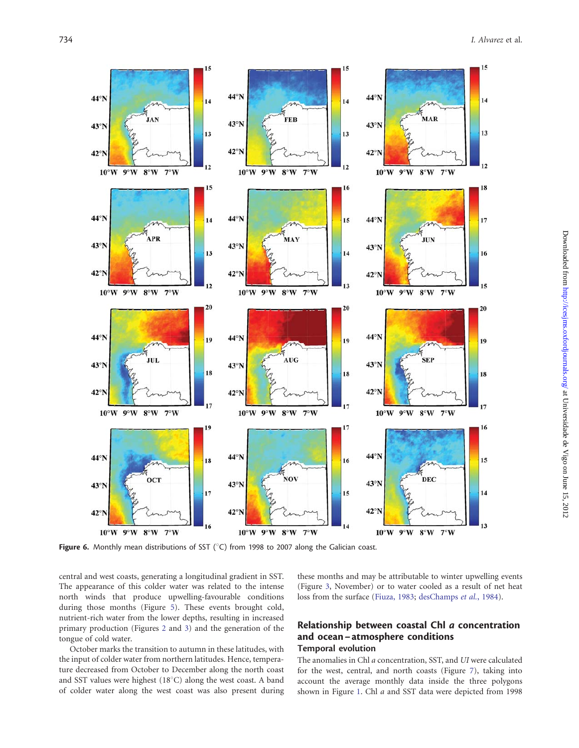<span id="page-6-0"></span>

Figure 6. Monthly mean distributions of SST ( $^{\circ}$ C) from 1998 to 2007 along the Galician coast.

central and west coasts, generating a longitudinal gradient in SST. The appearance of this colder water was related to the intense north winds that produce upwelling-favourable conditions during those months (Figure [5\)](#page-5-0). These events brought cold, nutrient-rich water from the lower depths, resulting in increased primary production (Figures [2](#page-2-0) and [3\)](#page-3-0) and the generation of the tongue of cold water.

October marks the transition to autumn in these latitudes, with the input of colder water from northern latitudes. Hence, temperature decreased from October to December along the north coast and SST values were highest  $(18^{\circ}C)$  along the west coast. A band of colder water along the west coast was also present during these months and may be attributable to winter upwelling events (Figure [3,](#page-3-0) November) or to water cooled as a result of net heat loss from the surface ([Fiuza, 1983](#page-9-0); [desChamps](#page-9-0) et al., 1984).

## Relationship between coastal Chl a concentration and ocean–atmosphere conditions Temporal evolution

The anomalies in Chl a concentration, SST, and UI were calculated for the west, central, and north coasts (Figure [7](#page-7-0)), taking into account the average monthly data inside the three polygons shown in Figure [1.](#page-1-0) Chl a and SST data were depicted from 1998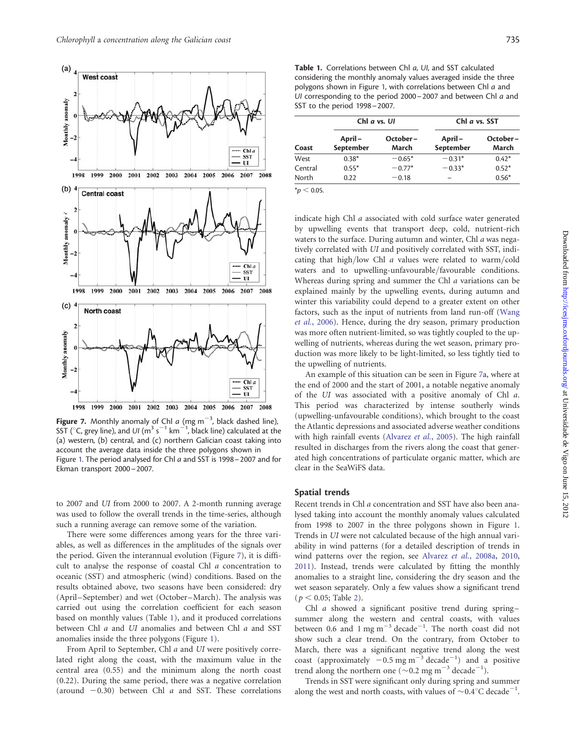<span id="page-7-0"></span>

Figure 7. Monthly anomaly of Chl  $a$  (mg m<sup>-3</sup>, black dashed line), <code>SST</code> ( $^{\circ}$ C, grey line), and UI (m $^3$  s $^{-1}$  km $^{-1}$ , black line) calculated at the (a) western, (b) central, and (c) northern Galician coast taking into account the average data inside the three polygons shown in Figure [1.](#page-1-0) The period analysed for Chl a and SST is 1998–2007 and for Ekman transport 2000–2007.

to 2007 and UI from 2000 to 2007. A 2-month running average was used to follow the overall trends in the time-series, although such a running average can remove some of the variation.

There were some differences among years for the three variables, as well as differences in the amplitudes of the signals over the period. Given the interannual evolution (Figure 7), it is difficult to analyse the response of coastal Chl a concentration to oceanic (SST) and atmospheric (wind) conditions. Based on the results obtained above, two seasons have been considered: dry (April–September) and wet (October–March). The analysis was carried out using the correlation coefficient for each season based on monthly values (Table 1), and it produced correlations between Chl a and UI anomalies and between Chl a and SST anomalies inside the three polygons (Figure [1](#page-1-0)).

From April to September, Chl a and UI were positively correlated right along the coast, with the maximum value in the central area (0.55) and the minimum along the north coast (0.22). During the same period, there was a negative correlation (around  $-0.30$ ) between Chl a and SST. These correlations

Table 1. Correlations between Chl *a*. *UI*, and SST calculated considering the monthly anomaly values averaged inside the three polygons shown in Figure [1,](#page-1-0) with correlations between Chl a and UI corresponding to the period 2000–2007 and between Chl a and SST to the period 1998–2007.

| Coast   | Chl a vs. UI        |                   | Chl a vs. SST       |                   |
|---------|---------------------|-------------------|---------------------|-------------------|
|         | April-<br>September | October-<br>March | April-<br>September | October-<br>March |
| West    | $0.38*$             | $-0.65*$          | $-0.31*$            | $0.42*$           |
| Central | $0.55*$             | $-0.77*$          | $-0.33*$            | $0.52*$           |
| North   | 0.22                | $-0.18$           |                     | $0.56*$           |

 $*_{p}$  < 0.05.

indicate high Chl a associated with cold surface water generated by upwelling events that transport deep, cold, nutrient-rich waters to the surface. During autumn and winter, Chl a was negatively correlated with UI and positively correlated with SST, indicating that high/low Chl a values were related to warm/cold waters and to upwelling-unfavourable/favourable conditions. Whereas during spring and summer the Chl a variations can be explained mainly by the upwelling events, during autumn and winter this variability could depend to a greater extent on other factors, such as the input of nutrients from land run-off ([Wang](#page-10-0) et al.[, 2006\)](#page-10-0). Hence, during the dry season, primary production was more often nutrient-limited, so was tightly coupled to the upwelling of nutrients, whereas during the wet season, primary production was more likely to be light-limited, so less tightly tied to the upwelling of nutrients.

An example of this situation can be seen in Figure 7a, where at the end of 2000 and the start of 2001, a notable negative anomaly of the UI was associated with a positive anomaly of Chl a. This period was characterized by intense southerly winds (upwelling-unfavourable conditions), which brought to the coast the Atlantic depressions and associated adverse weather conditions with high rainfall events [\(Alvarez](#page-8-0) et al., 2005). The high rainfall resulted in discharges from the rivers along the coast that generated high concentrations of particulate organic matter, which are clear in the SeaWiFS data.

#### Spatial trends

Recent trends in Chl a concentration and SST have also been analysed taking into account the monthly anomaly values calculated from 1998 to 2007 in the three polygons shown in Figure [1.](#page-1-0) Trends in UI were not calculated because of the high annual variability in wind patterns (for a detailed description of trends in wind patterns over the region, see Alvarez et al.[, 2008a](#page-8-0), [2010,](#page-8-0) [2011](#page-8-0)). Instead, trends were calculated by fitting the monthly anomalies to a straight line, considering the dry season and the wet season separately. Only a few values show a significant trend  $(p < 0.05;$  Table [2\)](#page-8-0).

Chl a showed a significant positive trend during spring– summer along the western and central coasts, with values between 0.6 and 1 mg  $m^{-3}$  decade<sup>-1</sup>. The north coast did not show such a clear trend. On the contrary, from October to March, there was a significant negative trend along the west coast (approximately  $-0.5$  mg m<sup>-3</sup> decade<sup>-1</sup>) and a positive trend along the northern one ( $\sim$ 0.2 mg m<sup>-3</sup> decade<sup>-1</sup>).

Trends in SST were significant only during spring and summer along the west and north coasts, with values of  $\sim 0.4^{\circ}$ C decade<sup>-1</sup>.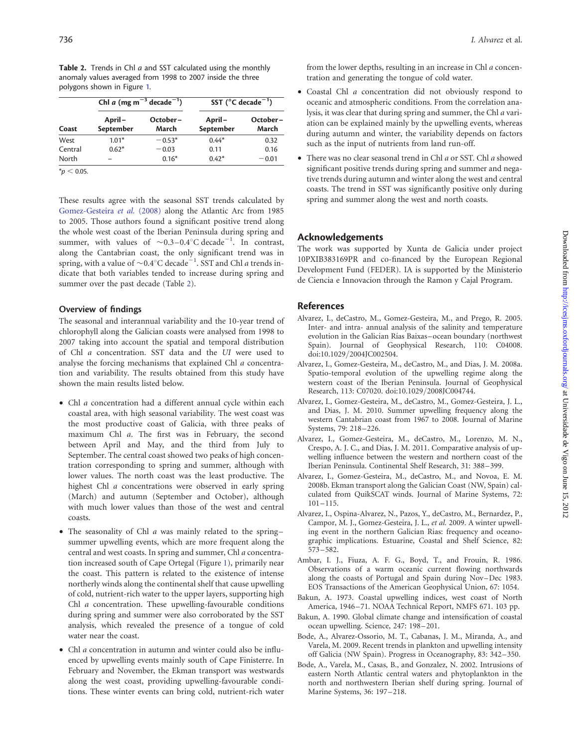| Coast   | Chl a $(mg m^{-3} decade^{-1})$ |                   | SST ( $^{\circ}$ C decade <sup>-1</sup> ) |                   |
|---------|---------------------------------|-------------------|-------------------------------------------|-------------------|
|         | April-<br>September             | October-<br>March | April-<br>September                       | October-<br>March |
| West    | $1.01*$                         | $-0.53*$          | $0.44*$                                   | 0.32              |
| Central | $0.62*$                         | $-0.03$           | 0.11                                      | 0.16              |
| North   |                                 | $0.16*$           | $0.42*$                                   | $-0.01$           |

<span id="page-8-0"></span>Table 2. Trends in Chl a and SST calculated using the monthly anomaly values averaged from 1998 to 2007 inside the three polygons shown in Figure [1](#page-1-0).

 $*_{p}$  < 0.05.

These results agree with the seasonal SST trends calculated by [Gomez-Gesteira](#page-9-0) et al. (2008) along the Atlantic Arc from 1985 to 2005. Those authors found a significant positive trend along the whole west coast of the Iberian Peninsula during spring and summer, with values of  $\sim 0.3-0.4^{\circ} \text{C}$  decade<sup>-1</sup>. In contrast, along the Cantabrian coast, the only significant trend was in spring, with a value of  $\sim 0.4^{\circ}$ C decade<sup>-1</sup>. SST and Chl *a* trends indicate that both variables tended to increase during spring and summer over the past decade (Table 2).

### Overview of findings

The seasonal and interannual variability and the 10-year trend of chlorophyll along the Galician coasts were analysed from 1998 to 2007 taking into account the spatial and temporal distribution of Chl a concentration. SST data and the UI were used to analyse the forcing mechanisms that explained Chl a concentration and variability. The results obtained from this study have shown the main results listed below.

- Chl a concentration had a different annual cycle within each coastal area, with high seasonal variability. The west coast was the most productive coast of Galicia, with three peaks of maximum Chl a. The first was in February, the second between April and May, and the third from July to September. The central coast showed two peaks of high concentration corresponding to spring and summer, although with lower values. The north coast was the least productive. The highest Chl a concentrations were observed in early spring (March) and autumn (September and October), although with much lower values than those of the west and central coasts.
- The seasonality of Chl a was mainly related to the spring– summer upwelling events, which are more frequent along the central and west coasts. In spring and summer, Chl a concentration increased south of Cape Ortegal (Figure [1\)](#page-1-0), primarily near the coast. This pattern is related to the existence of intense northerly winds along the continental shelf that cause upwelling of cold, nutrient-rich water to the upper layers, supporting high Chl a concentration. These upwelling-favourable conditions during spring and summer were also corroborated by the SST analysis, which revealed the presence of a tongue of cold water near the coast.
- Chl a concentration in autumn and winter could also be influenced by upwelling events mainly south of Cape Finisterre. In February and November, the Ekman transport was westwards along the west coast, providing upwelling-favourable conditions. These winter events can bring cold, nutrient-rich water

from the lower depths, resulting in an increase in Chl a concentration and generating the tongue of cold water.

- † Coastal Chl a concentration did not obviously respond to oceanic and atmospheric conditions. From the correlation analysis, it was clear that during spring and summer, the Chl a variation can be explained mainly by the upwelling events, whereas during autumn and winter, the variability depends on factors such as the input of nutrients from land run-off.
- There was no clear seasonal trend in Chl a or SST. Chl a showed significant positive trends during spring and summer and negative trends during autumn and winter along the west and central coasts. The trend in SST was significantly positive only during spring and summer along the west and north coasts.

# Acknowledgements

The work was supported by Xunta de Galicia under project 10PXIB383169PR and co-financed by the European Regional Development Fund (FEDER). IA is supported by the Ministerio de Ciencia e Innovacion through the Ramon y Cajal Program.

### References

- Alvarez, I., deCastro, M., Gomez-Gesteira, M., and Prego, R. 2005. Inter- and intra- annual analysis of the salinity and temperature evolution in the Galician Rías Baixas-ocean boundary (northwest Spain). Journal of Geophysical Research, 110: C04008. doi:10.1029/2004JC002504.
- Alvarez, I., Gomez-Gesteira, M., deCastro, M., and Dias, J. M. 2008a. Spatio-temporal evolution of the upwelling regime along the western coast of the Iberian Peninsula. Journal of Geophysical Research, 113: C07020. doi:10.1029/2008JC004744.
- Alvarez, I., Gomez-Gesteira, M., deCastro, M., Gomez-Gesteira, J. L., and Dias, J. M. 2010. Summer upwelling frequency along the western Cantabrian coast from 1967 to 2008. Journal of Marine Systems, 79: 218–226.
- Alvarez, I., Gomez-Gesteira, M., deCastro, M., Lorenzo, M. N., Crespo, A. J. C., and Dias, J. M. 2011. Comparative analysis of upwelling influence between the western and northern coast of the Iberian Peninsula. Continental Shelf Research, 31: 388–399.
- Alvarez, I., Gomez-Gesteira, M., deCastro, M., and Novoa, E. M. 2008b. Ekman transport along the Galician Coast (NW, Spain) calculated from QuikSCAT winds. Journal of Marine Systems, 72:  $101 - 115$ .
- Alvarez, I., Ospina-Alvarez, N., Pazos, Y., deCastro, M., Bernardez, P., Campor, M. J., Gomez-Gesteira, J. L., et al. 2009. A winter upwelling event in the northern Galician Rias: frequency and oceanographic implications. Estuarine, Coastal and Shelf Science, 82: 573–582.
- Ambar, I. J., Fiuza, A. F. G., Boyd, T., and Frouin, R. 1986. Observations of a warm oceanic current flowing northwards along the coasts of Portugal and Spain during Nov–Dec 1983. EOS Transactions of the American Geophysical Union, 67: 1054.
- Bakun, A. 1973. Coastal upwelling indices, west coast of North America, 1946–71. NOAA Technical Report, NMFS 671. 103 pp.
- Bakun, A. 1990. Global climate change and intensification of coastal ocean upwelling. Science, 247: 198–201.
- Bode, A., Alvarez-Ossorio, M. T., Cabanas, J. M., Miranda, A., and Varela, M. 2009. Recent trends in plankton and upwelling intensity off Galicia (NW Spain). Progress in Oceanography, 83: 342–350.
- Bode, A., Varela, M., Casas, B., and Gonzalez, N. 2002. Intrusions of eastern North Atlantic central waters and phytoplankton in the north and northwestern Iberian shelf during spring. Journal of Marine Systems, 36: 197–218.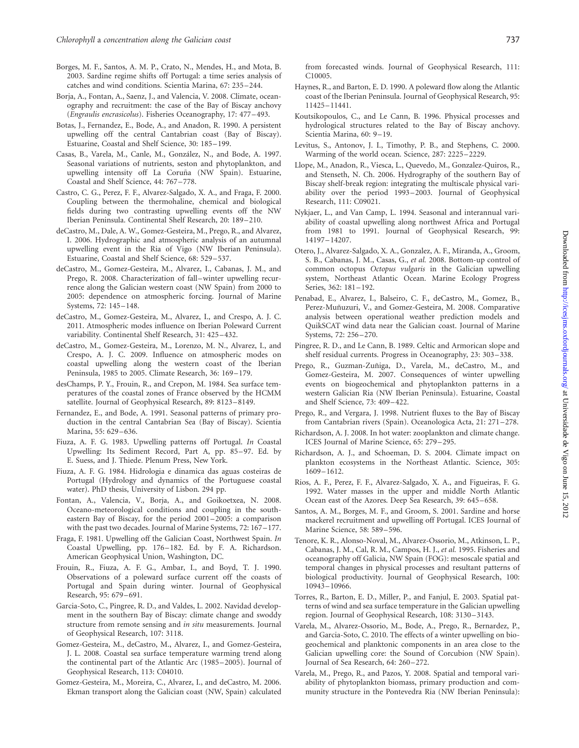- <span id="page-9-0"></span>Borges, M. F., Santos, A. M. P., Crato, N., Mendes, H., and Mota, B. 2003. Sardine regime shifts off Portugal: a time series analysis of catches and wind conditions. Scientia Marina, 67: 235–244.
- Borja, A., Fontan, A., Saenz, J., and Valencia, V. 2008. Climate, oceanography and recruitment: the case of the Bay of Biscay anchovy (Engraulis encrasicolus). Fisheries Oceanography, 17: 477–493.
- Botas, J., Fernandez, E., Bode, A., and Anadon, R. 1990. A persistent upwelling off the central Cantabrian coast (Bay of Biscay). Estuarine, Coastal and Shelf Science, 30: 185–199.
- Casas, B., Varela, M., Canle, M., González, N., and Bode, A. 1997. Seasonal variations of nutrients, seston and phytoplankton, and upwelling intensity off La Coruña (NW Spain). Estuarine, Coastal and Shelf Science, 44: 767–778.
- Castro, C. G., Perez, F. F., Alvarez-Salgado, X. A., and Fraga, F. 2000. Coupling between the thermohaline, chemical and biological fields during two contrasting upwelling events off the NW Iberian Peninsula. Continental Shelf Research, 20: 189–210.
- deCastro, M., Dale, A. W., Gomez-Gesteira, M., Prego, R., and Alvarez, I. 2006. Hydrographic and atmospheric analysis of an autumnal upwelling event in the Ria of Vigo (NW Iberian Peninsula). Estuarine, Coastal and Shelf Science, 68: 529–537.
- deCastro, M., Gomez-Gesteira, M., Alvarez, I., Cabanas, J. M., and Prego, R. 2008. Characterization of fall–winter upwelling recurrence along the Galician western coast (NW Spain) from 2000 to 2005: dependence on atmospheric forcing. Journal of Marine Systems, 72: 145–148.
- deCastro, M., Gomez-Gesteira, M., Alvarez, I., and Crespo, A. J. C. 2011. Atmospheric modes influence on Iberian Poleward Current variability. Continental Shelf Research, 31: 425–432.
- deCastro, M., Gomez-Gesteira, M., Lorenzo, M. N., Alvarez, I., and Crespo, A. J. C. 2009. Influence on atmospheric modes on coastal upwelling along the western coast of the Iberian Peninsula, 1985 to 2005. Climate Research, 36: 169–179.
- desChamps, P. Y., Frouin, R., and Crepon, M. 1984. Sea surface temperatures of the coastal zones of France observed by the HCMM satellite. Journal of Geophysical Research, 89: 8123–8149.
- Fernandez, E., and Bode, A. 1991. Seasonal patterns of primary production in the central Cantabrian Sea (Bay of Biscay). Scientia Marina, 55: 629–636.
- Fiuza, A. F. G. 1983. Upwelling patterns off Portugal. In Coastal Upwelling: Its Sediment Record, Part A, pp. 85–97. Ed. by E. Suess, and J. Thiede. Plenum Press, New York.
- Fiuza, A. F. G. 1984. Hidrologia e dinamica das aguas costeiras de Portugal (Hydrology and dynamics of the Portuguese coastal water). PhD thesis, University of Lisbon. 294 pp.
- Fontan, A., Valencia, V., Borja, A., and Goikoetxea, N. 2008. Oceano-meteorological conditions and coupling in the southeastern Bay of Biscay, for the period 2001–2005: a comparison with the past two decades. Journal of Marine Systems, 72: 167–177.
- Fraga, F. 1981. Upwelling off the Galician Coast, Northwest Spain. In Coastal Upwelling, pp. 176–182. Ed. by F. A. Richardson. American Geophysical Union, Washington, DC.
- Frouin, R., Fiuza, A. F. G., Ambar, I., and Boyd, T. J. 1990. Observations of a poleward surface current off the coasts of Portugal and Spain during winter. Journal of Geophysical Research, 95: 679–691.
- Garcia-Soto, C., Pingree, R. D., and Valdes, L. 2002. Navidad development in the southern Bay of Biscay: climate change and swoddy structure from remote sensing and in situ measurements. Journal of Geophysical Research, 107: 3118.
- Gomez-Gesteira, M., deCastro, M., Alvarez, I., and Gomez-Gesteira, J. L. 2008. Coastal sea surface temperature warming trend along the continental part of the Atlantic Arc (1985–2005). Journal of Geophysical Research, 113: C04010.
- Gomez-Gesteira, M., Moreira, C., Alvarez, I., and deCastro, M. 2006. Ekman transport along the Galician coast (NW, Spain) calculated

from forecasted winds. Journal of Geophysical Research, 111: C10005.

- Haynes, R., and Barton, E. D. 1990. A poleward flow along the Atlantic coast of the Iberian Peninsula. Journal of Geophysical Research, 95: 11425–11441.
- Koutsikopoulos, C., and Le Cann, B. 1996. Physical processes and hydrological structures related to the Bay of Biscay anchovy. Scientia Marina, 60: 9–19.
- Levitus, S., Antonov, J. I., Timothy, P. B., and Stephens, C. 2000. Warming of the world ocean. Science, 287: 2225–2229.
- Llope, M., Anadon, R., Viesca, L., Quevedo, M., Gonzalez-Quiros, R., and Stenseth, N. Ch. 2006. Hydrography of the southern Bay of Biscay shelf-break region: integrating the multiscale physical variability over the period 1993–2003. Journal of Geophysical Research, 111: C09021.
- Nykjaer, L., and Van Camp, L. 1994. Seasonal and interannual variability of coastal upwelling along northwest Africa and Portugal from 1981 to 1991. Journal of Geophysical Research, 99: 14197–14207.
- Otero, J., Alvarez-Salgado, X. A., Gonzalez, A. F., Miranda, A., Groom, S. B., Cabanas, J. M., Casas, G., et al. 2008. Bottom-up control of common octopus Octopus vulgaris in the Galician upwelling system, Northeast Atlantic Ocean. Marine Ecology Progress Series, 362: 181–192.
- Penabad, E., Alvarez, I., Balseiro, C. F., deCastro, M., Gomez, B., Perez-Muñuzuri, V., and Gomez-Gesteira, M. 2008. Comparative analysis between operational weather prediction models and QuikSCAT wind data near the Galician coast. Journal of Marine Systems, 72: 256–270.
- Pingree, R. D., and Le Cann, B. 1989. Celtic and Armorican slope and shelf residual currents. Progress in Oceanography, 23: 303–338.
- Prego, R., Guzman-Zuñiga, D., Varela, M., deCastro, M., and Gomez-Gesteira, M. 2007. Consequences of winter upwelling events on biogeochemical and phytoplankton patterns in a western Galician Ria (NW Iberian Peninsula). Estuarine, Coastal and Shelf Science, 73: 409–422.
- Prego, R., and Vergara, J. 1998. Nutrient fluxes to the Bay of Biscay from Cantabrian rivers (Spain). Oceanologica Acta, 21: 271–278.
- Richardson, A. J. 2008. In hot water: zooplankton and climate change. ICES Journal of Marine Science, 65: 279–295.
- Richardson, A. J., and Schoeman, D. S. 2004. Climate impact on plankton ecosystems in the Northeast Atlantic. Science, 305: 1609–1612.
- Rios, A. F., Perez, F. F., Alvarez-Salgado, X. A., and Figueiras, F. G. 1992. Water masses in the upper and middle North Atlantic Ocean east of the Azores. Deep Sea Research, 39: 645–658.
- Santos, A. M., Borges, M. F., and Groom, S. 2001. Sardine and horse mackerel recruitment and upwelling off Portugal. ICES Journal of Marine Science, 58: 589–596.
- Tenore, K. R., Alonso-Noval, M., Alvarez-Ossorio, M., Atkinson, L. P., Cabanas, J. M., Cal, R. M., Campos, H. J., et al. 1995. Fisheries and oceanography off Galicia, NW Spain (FOG): mesoscale spatial and temporal changes in physical processes and resultant patterns of biological productivity. Journal of Geophysical Research, 100: 10943–10966.
- Torres, R., Barton, E. D., Miller, P., and Fanjul, E. 2003. Spatial patterns of wind and sea surface temperature in the Galician upwelling region. Journal of Geophysical Research, 108: 3130–3143.
- Varela, M., Alvarez-Ossorio, M., Bode, A., Prego, R., Bernardez, P., and Garcia-Soto, C. 2010. The effects of a winter upwelling on biogeochemical and planktonic components in an area close to the Galician upwelling core: the Sound of Corcubion (NW Spain). Journal of Sea Research, 64: 260–272.
- Varela, M., Prego, R., and Pazos, Y. 2008. Spatial and temporal variability of phytoplankton biomass, primary production and community structure in the Pontevedra Ria (NW Iberian Peninsula):